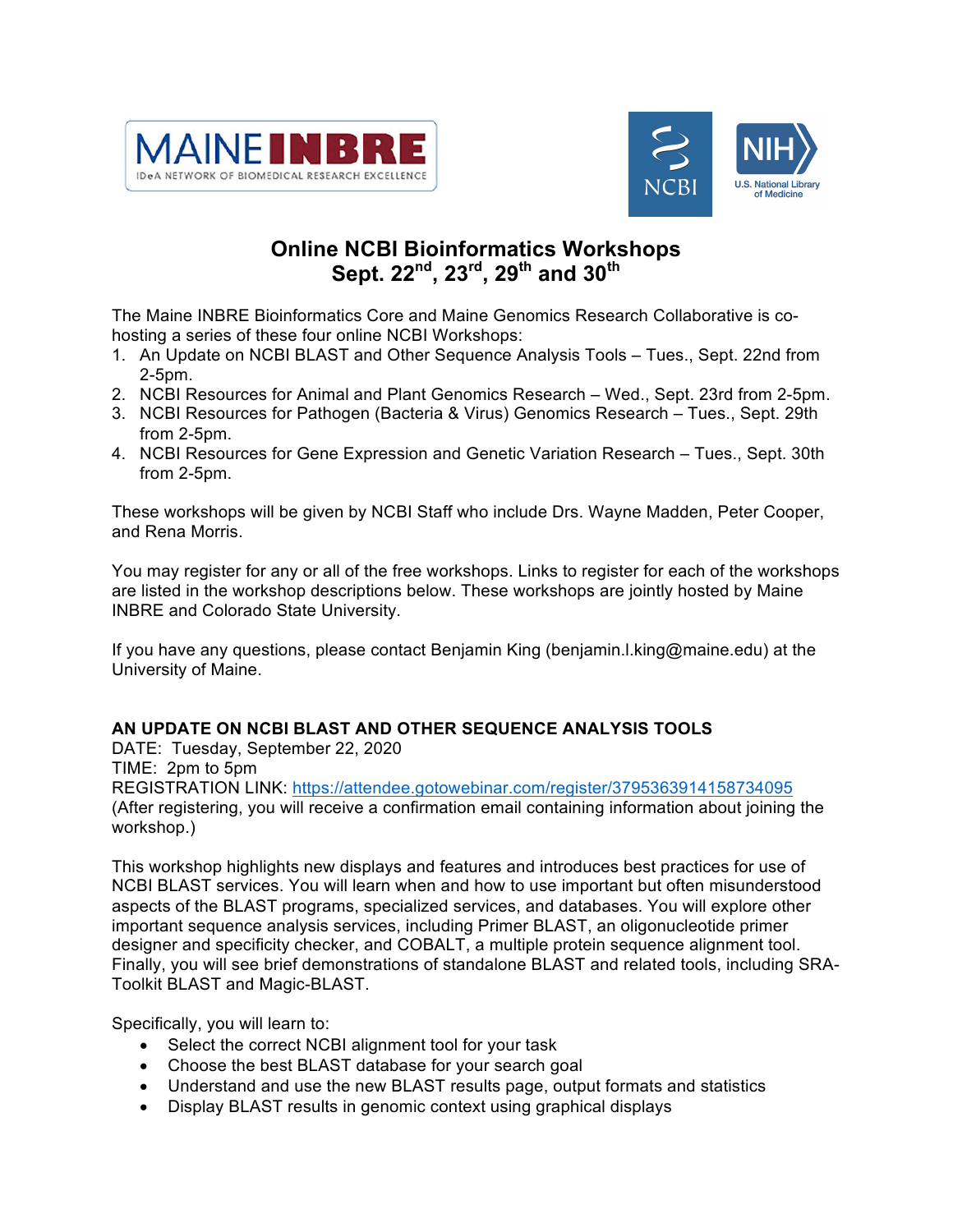



# **Online NCBI Bioinformatics Workshops Sept. 22nd, 23rd, 29th and 30th**

The Maine INBRE Bioinformatics Core and Maine Genomics Research Collaborative is cohosting a series of these four online NCBI Workshops:

- 1. An Update on NCBI BLAST and Other Sequence Analysis Tools Tues., Sept. 22nd from 2-5pm.
- 2. NCBI Resources for Animal and Plant Genomics Research Wed., Sept. 23rd from 2-5pm.
- 3. NCBI Resources for Pathogen (Bacteria & Virus) Genomics Research Tues., Sept. 29th from 2-5pm.
- 4. NCBI Resources for Gene Expression and Genetic Variation Research Tues., Sept. 30th from 2-5pm.

These workshops will be given by NCBI Staff who include Drs. Wayne Madden, Peter Cooper, and Rena Morris.

You may register for any or all of the free workshops. Links to register for each of the workshops are listed in the workshop descriptions below. These workshops are jointly hosted by Maine INBRE and Colorado State University.

If you have any questions, please contact Benjamin King (benjamin.l.king@maine.edu) at the University of Maine.

## **AN UPDATE ON NCBI BLAST AND OTHER SEQUENCE ANALYSIS TOOLS**

DATE: Tuesday, September 22, 2020 TIME: 2pm to 5pm REGISTRATION LINK: https://attendee.gotowebinar.com/register/3795363914158734095 (After registering, you will receive a confirmation email containing information about joining the workshop.)

This workshop highlights new displays and features and introduces best practices for use of NCBI BLAST services. You will learn when and how to use important but often misunderstood aspects of the BLAST programs, specialized services, and databases. You will explore other important sequence analysis services, including Primer BLAST, an oligonucleotide primer designer and specificity checker, and COBALT, a multiple protein sequence alignment tool. Finally, you will see brief demonstrations of standalone BLAST and related tools, including SRA-Toolkit BLAST and Magic-BLAST.

Specifically, you will learn to:

- Select the correct NCBI alignment tool for your task
- Choose the best BLAST database for your search goal
- Understand and use the new BLAST results page, output formats and statistics
- Display BLAST results in genomic context using graphical displays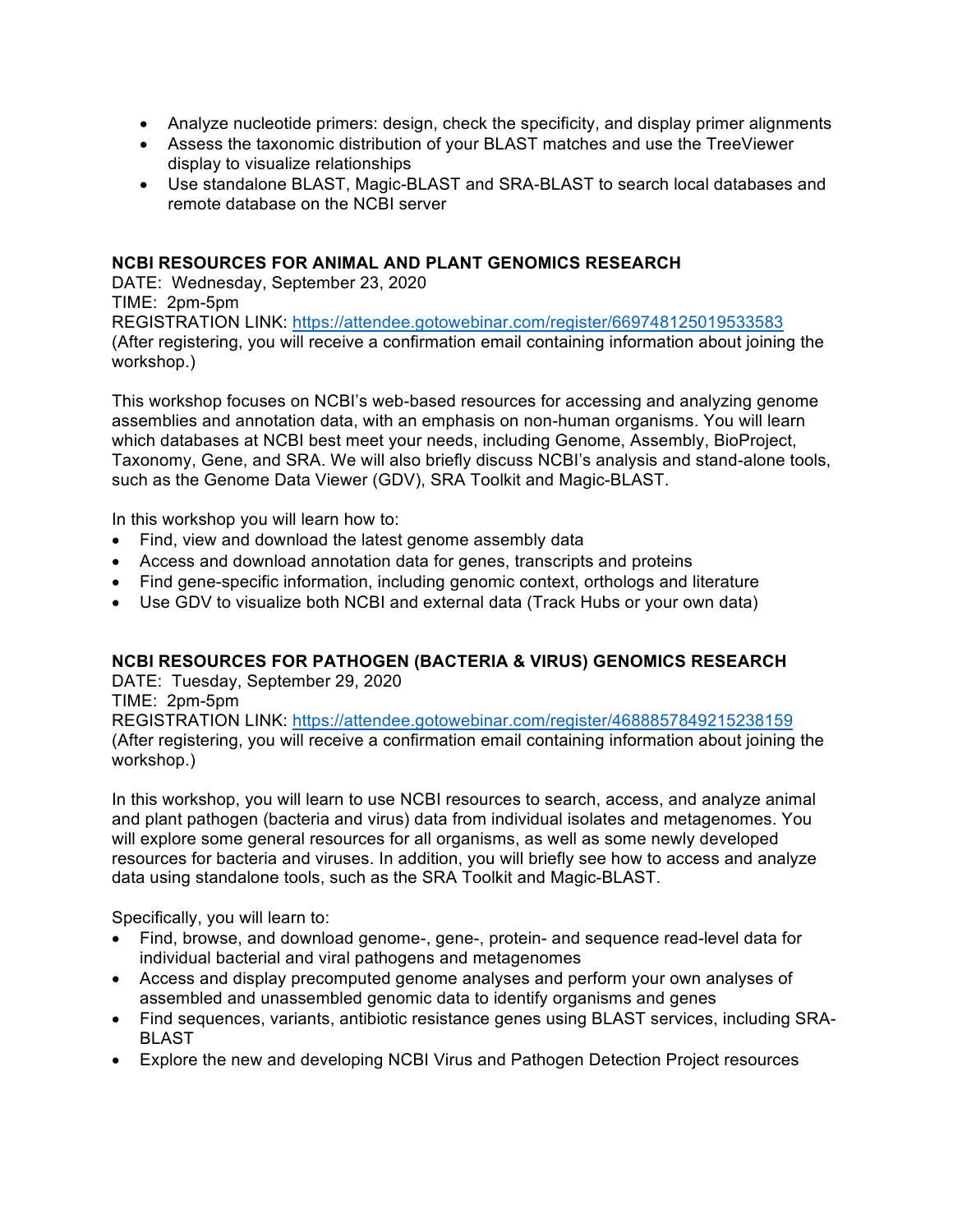- Analyze nucleotide primers: design, check the specificity, and display primer alignments
- Assess the taxonomic distribution of your BLAST matches and use the TreeViewer display to visualize relationships
- Use standalone BLAST, Magic-BLAST and SRA-BLAST to search local databases and remote database on the NCBI server

#### **NCBI RESOURCES FOR ANIMAL AND PLANT GENOMICS RESEARCH**

DATE: Wednesday, September 23, 2020

TIME: 2pm-5pm

REGISTRATION LINK: https://attendee.gotowebinar.com/register/669748125019533583 (After registering, you will receive a confirmation email containing information about joining the workshop.)

This workshop focuses on NCBI's web-based resources for accessing and analyzing genome assemblies and annotation data, with an emphasis on non-human organisms. You will learn which databases at NCBI best meet your needs, including Genome, Assembly, BioProject, Taxonomy, Gene, and SRA. We will also briefly discuss NCBI's analysis and stand-alone tools, such as the Genome Data Viewer (GDV), SRA Toolkit and Magic-BLAST.

In this workshop you will learn how to:

- Find, view and download the latest genome assembly data
- Access and download annotation data for genes, transcripts and proteins
- Find gene-specific information, including genomic context, orthologs and literature
- Use GDV to visualize both NCBI and external data (Track Hubs or your own data)

## **NCBI RESOURCES FOR PATHOGEN (BACTERIA & VIRUS) GENOMICS RESEARCH**

DATE: Tuesday, September 29, 2020

TIME: 2pm-5pm

REGISTRATION LINK: https://attendee.gotowebinar.com/register/4688857849215238159 (After registering, you will receive a confirmation email containing information about joining the workshop.)

In this workshop, you will learn to use NCBI resources to search, access, and analyze animal and plant pathogen (bacteria and virus) data from individual isolates and metagenomes. You will explore some general resources for all organisms, as well as some newly developed resources for bacteria and viruses. In addition, you will briefly see how to access and analyze data using standalone tools, such as the SRA Toolkit and Magic-BLAST.

Specifically, you will learn to:

- Find, browse, and download genome-, gene-, protein- and sequence read-level data for individual bacterial and viral pathogens and metagenomes
- Access and display precomputed genome analyses and perform your own analyses of assembled and unassembled genomic data to identify organisms and genes
- Find sequences, variants, antibiotic resistance genes using BLAST services, including SRA-BLAST
- Explore the new and developing NCBI Virus and Pathogen Detection Project resources